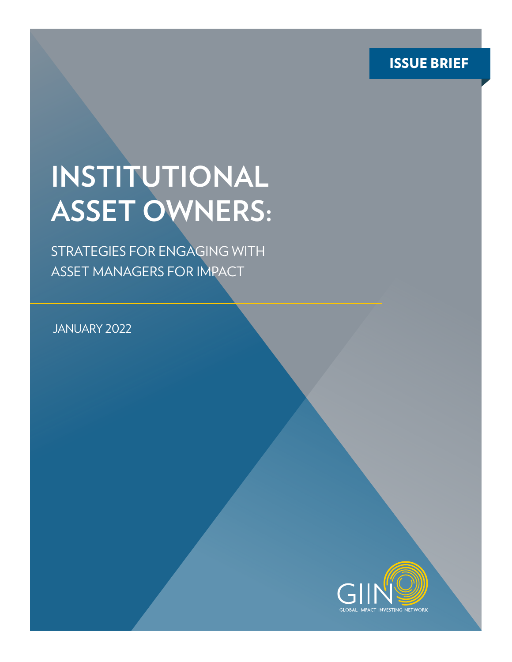ISSUE BRIEF

# **INSTITUTIONAL ASSET OWNERS:**

STRATEGIES FOR ENGAGING WITH ASSET MANAGERS FOR IMPACT

JANUARY 2022

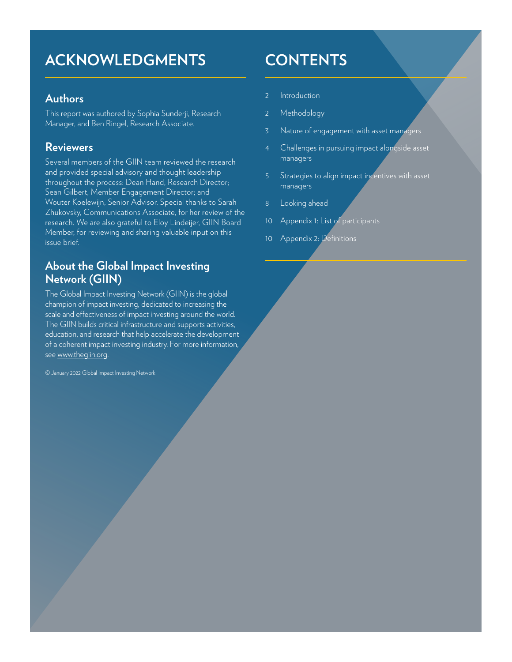## **ACKNOWLEDGMENTS CONTENTS**

#### **Authors**

This report was authored by Sophia Sunderji, Research Manager, and Ben Ringel, Research Associate.

#### **Reviewers**

Several members of the GIIN team reviewed the research and provided special advisory and thought leadership throughout the process: Dean Hand, Research Director; Sean Gilbert, Member Engagement Director; and Wouter Koelewijn, Senior Advisor. Special thanks to Sarah Zhukovsky, Communications Associate, for her review of the research. We are also grateful to Eloy Lindeijer, GIIN Board Member, for reviewing and sharing valuable input on this issue brief.

### **About the Global Impact Investing Network (GIIN)**

The Global Impact Investing Network (GIIN) is the global champion of impact investing, dedicated to increasing the scale and effectiveness of impact investing around the world. The GIIN builds critical infrastructure and supports activities, education, and research that help accelerate the development of a coherent impact investing industry. For more information, see [www.thegiin.org](http://www.thegiin.org).

© January 2022 Global Impact Investing Network

- 2 Introduction
- 2 [Methodology](#page-4-0)
- 3 [Nature of engagement with asset managers](#page-4-0)
- 4 [Challenges in pursuing impact alongside asset](#page-4-0)  [managers](#page-4-0)
- 5 [Strategies to align impact incentives with asset](#page-5-0)  [managers](#page-5-0)
- 8 [Looking ahead](#page-9-0)
- 10 [Appendix 1: List of participants](#page-10-0)
- 10 Appendix 2: Definitions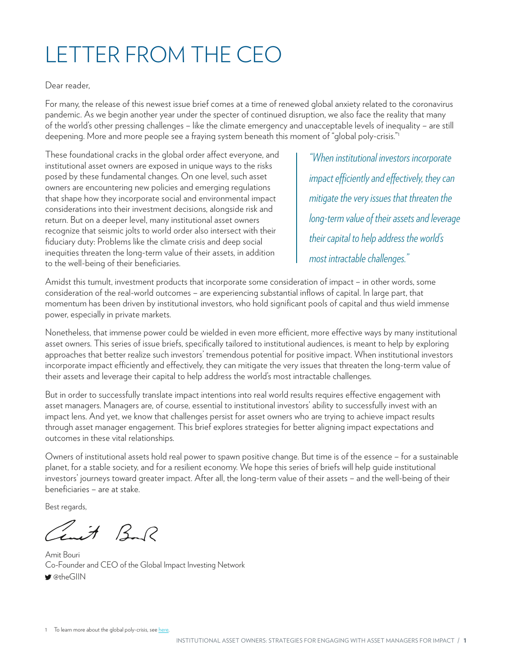## LETTER FROM THE CEO

#### Dear reader,

For many, the release of this newest issue brief comes at a time of renewed global anxiety related to the coronavirus pandemic. As we begin another year under the specter of continued disruption, we also face the reality that many of the world's other pressing challenges – like the climate emergency and unacceptable levels of inequality – are still deepening. More and more people see a fraying system beneath this moment of "global poly-crisis."1

These foundational cracks in the global order affect everyone, and institutional asset owners are exposed in unique ways to the risks posed by these fundamental changes. On one level, such asset owners are encountering new policies and emerging regulations that shape how they incorporate social and environmental impact considerations into their investment decisions, alongside risk and return. But on a deeper level, many institutional asset owners recognize that seismic jolts to world order also intersect with their fiduciary duty: Problems like the climate crisis and deep social inequities threaten the long-term value of their assets, in addition to the well-being of their beneficiaries.

*"When institutional investors incorporate impact efficiently and effectively, they can mitigate the very issues that threaten the long-term value of their assets and leverage their capital to help address the world's most intractable challenges."*

Amidst this tumult, investment products that incorporate some consideration of impact – in other words, some consideration of the real-world outcomes – are experiencing substantial inflows of capital. In large part, that momentum has been driven by institutional investors, who hold significant pools of capital and thus wield immense power, especially in private markets.

Nonetheless, that immense power could be wielded in even more efficient, more effective ways by many institutional asset owners. This series of issue briefs, specifically tailored to institutional audiences, is meant to help by exploring approaches that better realize such investors' tremendous potential for positive impact. When institutional investors incorporate impact efficiently and effectively, they can mitigate the very issues that threaten the long-term value of their assets and leverage their capital to help address the world's most intractable challenges.

But in order to successfully translate impact intentions into real world results requires effective engagement with asset managers. Managers are, of course, essential to institutional investors' ability to successfully invest with an impact lens. And yet, we know that challenges persist for asset owners who are trying to achieve impact results through asset manager engagement. This brief explores strategies for better aligning impact expectations and outcomes in these vital relationships.

Owners of institutional assets hold real power to spawn positive change. But time is of the essence – for a sustainable planet, for a stable society, and for a resilient economy. We hope this series of briefs will help guide institutional investors' journeys toward greater impact. After all, the long-term value of their assets – and the well-being of their beneficiaries – are at stake.

Best regards,

 $H$   $B$   $R$ 

Amit Bouri Co-Founder and CEO of the Global Impact Investing Network @theGIIN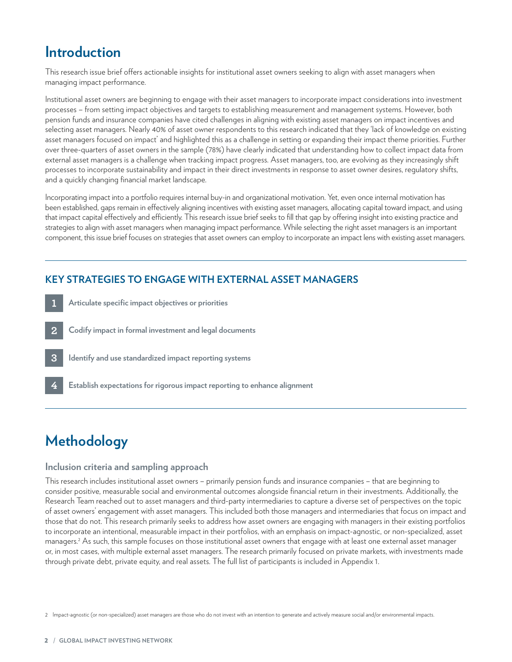## **Introduction**

This research issue brief offers actionable insights for institutional asset owners seeking to align with asset managers when managing impact performance.

Institutional asset owners are beginning to engage with their asset managers to incorporate impact considerations into investment processes – from setting impact objectives and targets to establishing measurement and management systems. However, both pension funds and insurance companies have cited challenges in aligning with existing asset managers on impact incentives and selecting asset managers. Nearly 40% of asset owner respondents to this research indicated that they 'lack of knowledge on existing asset managers focused on impact' and highlighted this as a challenge in setting or expanding their impact theme priorities. Further over three-quarters of asset owners in the sample (78%) have clearly indicated that understanding how to collect impact data from external asset managers is a challenge when tracking impact progress. Asset managers, too, are evolving as they increasingly shift processes to incorporate sustainability and impact in their direct investments in response to asset owner desires, regulatory shifts, and a quickly changing financial market landscape.

Incorporating impact into a portfolio requires internal buy-in and organizational motivation. Yet, even once internal motivation has been established, gaps remain in effectively aligning incentives with existing asset managers, allocating capital toward impact, and using that impact capital effectively and efficiently. This research issue brief seeks to fill that gap by offering insight into existing practice and strategies to align with asset managers when managing impact performance. While selecting the right asset managers is an important component, this issue brief focuses on strategies that asset owners can employ to incorporate an impact lens with existing asset managers.

#### **KEY STRATEGIES TO ENGAGE WITH EXTERNAL ASSET MANAGERS**

- **Articulate specific impact objectives or priorities Codify impact in formal investment and legal documents Identify and use standardized impact reporting systems 1 2 3**
	- **Establish expectations for rigorous impact reporting to enhance alignment**

## **Methodology**

**4**

#### **Inclusion criteria and sampling approach**

This research includes institutional asset owners – primarily pension funds and insurance companies – that are beginning to consider positive, measurable social and environmental outcomes alongside financial return in their investments. Additionally, the Research Team reached out to asset managers and third-party intermediaries to capture a diverse set of perspectives on the topic of asset owners' engagement with asset managers. This included both those managers and intermediaries that focus on impact and those that do not. This research primarily seeks to address how asset owners are engaging with managers in their existing portfolios to incorporate an intentional, measurable impact in their portfolios, with an emphasis on impact-agnostic, or non-specialized, asset managers.2 As such, this sample focuses on those institutional asset owners that engage with at least one external asset manager or, in most cases, with multiple external asset managers. The research primarily focused on private markets, with investments made through private debt, private equity, and real assets. The full list of participants is included in Appendix 1.

2 Impact-agnostic (or non-specialized) asset managers are those who do not invest with an intention to generate and actively measure social and/or environmental impacts.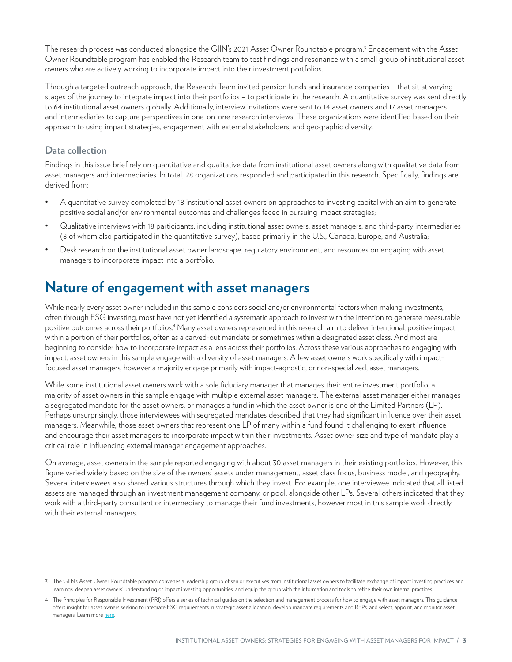<span id="page-4-0"></span>The research process was conducted alongside the GIIN's 2021 Asset Owner Roundtable program.<sup>3</sup> Engagement with the Asset Owner Roundtable program has enabled the Research team to test findings and resonance with a small group of institutional asset owners who are actively working to incorporate impact into their investment portfolios.

Through a targeted outreach approach, the Research Team invited pension funds and insurance companies – that sit at varying stages of the journey to integrate impact into their portfolios – to participate in the research. A quantitative survey was sent directly to 64 institutional asset owners globally. Additionally, interview invitations were sent to 14 asset owners and 17 asset managers and intermediaries to capture perspectives in one-on-one research interviews. These organizations were identified based on their approach to using impact strategies, engagement with external stakeholders, and geographic diversity.

#### **Data collection**

Findings in this issue brief rely on quantitative and qualitative data from institutional asset owners along with qualitative data from asset managers and intermediaries. In total, 28 organizations responded and participated in this research. Specifically, findings are derived from:

- A quantitative survey completed by 18 institutional asset owners on approaches to investing capital with an aim to generate positive social and/or environmental outcomes and challenges faced in pursuing impact strategies;
- Qualitative interviews with 18 participants, including institutional asset owners, asset managers, and third-party intermediaries (8 of whom also participated in the quantitative survey), based primarily in the U.S., Canada, Europe, and Australia;
- Desk research on the institutional asset owner landscape, regulatory environment, and resources on engaging with asset managers to incorporate impact into a portfolio.

### **Nature of engagement with asset managers**

While nearly every asset owner included in this sample considers social and/or environmental factors when making investments, often through ESG investing, most have not yet identified a systematic approach to invest with the intention to generate measurable positive outcomes across their portfolios.<sup>4</sup> Many asset owners represented in this research aim to deliver intentional, positive impact within a portion of their portfolios, often as a carved-out mandate or sometimes within a designated asset class. And most are beginning to consider how to incorporate impact as a lens across their portfolios. Across these various approaches to engaging with impact, asset owners in this sample engage with a diversity of asset managers. A few asset owners work specifically with impactfocused asset managers, however a majority engage primarily with impact-agnostic, or non-specialized, asset managers.

While some institutional asset owners work with a sole fiduciary manager that manages their entire investment portfolio, a majority of asset owners in this sample engage with multiple external asset managers. The external asset manager either manages a segregated mandate for the asset owners, or manages a fund in which the asset owner is one of the Limited Partners (LP). Perhaps unsurprisingly, those interviewees with segregated mandates described that they had significant influence over their asset managers. Meanwhile, those asset owners that represent one LP of many within a fund found it challenging to exert influence and encourage their asset managers to incorporate impact within their investments. Asset owner size and type of mandate play a critical role in influencing external manager engagement approaches.

On average, asset owners in the sample reported engaging with about 30 asset managers in their existing portfolios. However, this figure varied widely based on the size of the owners' assets under management, asset class focus, business model, and geography. Several interviewees also shared various structures through which they invest. For example, one interviewee indicated that all listed assets are managed through an investment management company, or pool, alongside other LPs. Several others indicated that they work with a third-party consultant or intermediary to manage their fund investments, however most in this sample work directly with their external managers.

<sup>3</sup> The GIIN's Asset Owner Roundtable program convenes a leadership group of senior executives from institutional asset owners to facilitate exchange of impact investing practices and learnings, deepen asset owners' understanding of impact investing opportunities, and equip the group with the information and tools to refine their own internal practices.

<sup>4</sup> The Principles for Responsible Investment (PRI) offers a series of technical guides on the selection and management process for how to engage with asset managers. This guidance offers insight for asset owners seeking to integrate ESG requirements in strategic asset allocation, develop mandate requirements and RFPs, and select, appoint, and monitor asset managers. Learn more [here.](https://www.unpri.org/manager-monitoring/asset-owner-guide-investment-manager-monitoring/6575.article)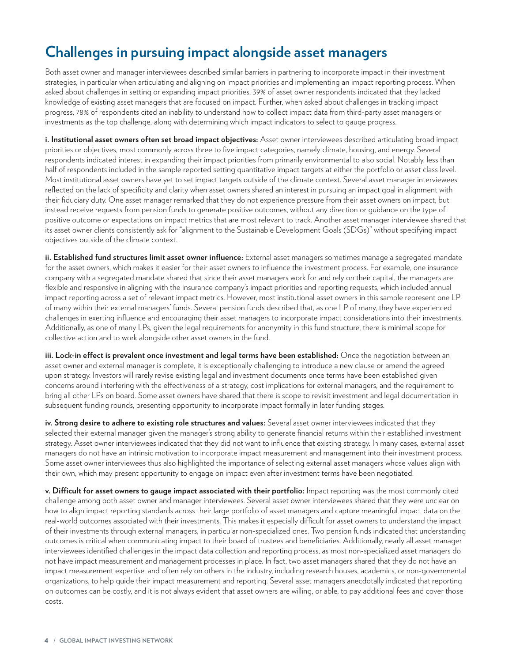## <span id="page-5-0"></span>**Challenges in pursuing impact alongside asset managers**

Both asset owner and manager interviewees described similar barriers in partnering to incorporate impact in their investment strategies, in particular when articulating and aligning on impact priorities and implementing an impact reporting process. When asked about challenges in setting or expanding impact priorities, 39% of asset owner respondents indicated that they lacked knowledge of existing asset managers that are focused on impact. Further, when asked about challenges in tracking impact progress, 78% of respondents cited an inability to understand how to collect impact data from third-party asset managers or investments as the top challenge, along with determining which impact indicators to select to gauge progress.

**i. Institutional asset owners often set broad impact objectives:** Asset owner interviewees described articulating broad impact priorities or objectives, most commonly across three to five impact categories, namely climate, housing, and energy. Several respondents indicated interest in expanding their impact priorities from primarily environmental to also social. Notably, less than half of respondents included in the sample reported setting quantitative impact targets at either the portfolio or asset class level. Most institutional asset owners have yet to set impact targets outside of the climate context. Several asset manager interviewees reflected on the lack of specificity and clarity when asset owners shared an interest in pursuing an impact goal in alignment with their fiduciary duty. One asset manager remarked that they do not experience pressure from their asset owners on impact, but instead receive requests from pension funds to generate positive outcomes, without any direction or guidance on the type of positive outcome or expectations on impact metrics that are most relevant to track. Another asset manager interviewee shared that its asset owner clients consistently ask for "alignment to the Sustainable Development Goals (SDGs)" without specifying impact objectives outside of the climate context.

**ii. Established fund structures limit asset owner influence:** External asset managers sometimes manage a segregated mandate for the asset owners, which makes it easier for their asset owners to influence the investment process. For example, one insurance company with a segregated mandate shared that since their asset managers work for and rely on their capital, the managers are flexible and responsive in aligning with the insurance company's impact priorities and reporting requests, which included annual impact reporting across a set of relevant impact metrics. However, most institutional asset owners in this sample represent one LP of many within their external managers' funds. Several pension funds described that, as one LP of many, they have experienced challenges in exerting influence and encouraging their asset managers to incorporate impact considerations into their investments. Additionally, as one of many LPs, given the legal requirements for anonymity in this fund structure, there is minimal scope for collective action and to work alongside other asset owners in the fund.

**iii. Lock-in effect is prevalent once investment and legal terms have been established:** Once the negotiation between an asset owner and external manager is complete, it is exceptionally challenging to introduce a new clause or amend the agreed upon strategy. Investors will rarely revise existing legal and investment documents once terms have been established given concerns around interfering with the effectiveness of a strategy, cost implications for external managers, and the requirement to bring all other LPs on board. Some asset owners have shared that there is scope to revisit investment and legal documentation in subsequent funding rounds, presenting opportunity to incorporate impact formally in later funding stages.

**iv. Strong desire to adhere to existing role structures and values:** Several asset owner interviewees indicated that they selected their external manager given the manager's strong ability to generate financial returns within their established investment strategy. Asset owner interviewees indicated that they did not want to influence that existing strategy. In many cases, external asset managers do not have an intrinsic motivation to incorporate impact measurement and management into their investment process. Some asset owner interviewees thus also highlighted the importance of selecting external asset managers whose values align with their own, which may present opportunity to engage on impact even after investment terms have been negotiated.

**v. Difficult for asset owners to gauge impact associated with their portfolio:** Impact reporting was the most commonly cited challenge among both asset owner and manager interviewees. Several asset owner interviewees shared that they were unclear on how to align impact reporting standards across their large portfolio of asset managers and capture meaningful impact data on the real-world outcomes associated with their investments. This makes it especially difficult for asset owners to understand the impact of their investments through external managers, in particular non-specialized ones. Two pension funds indicated that understanding outcomes is critical when communicating impact to their board of trustees and beneficiaries. Additionally, nearly all asset manager interviewees identified challenges in the impact data collection and reporting process, as most non-specialized asset managers do not have impact measurement and management processes in place. In fact, two asset managers shared that they do not have an impact measurement expertise, and often rely on others in the industry, including research houses, academics, or non-governmental organizations, to help guide their impact measurement and reporting. Several asset managers anecdotally indicated that reporting on outcomes can be costly, and it is not always evident that asset owners are willing, or able, to pay additional fees and cover those costs.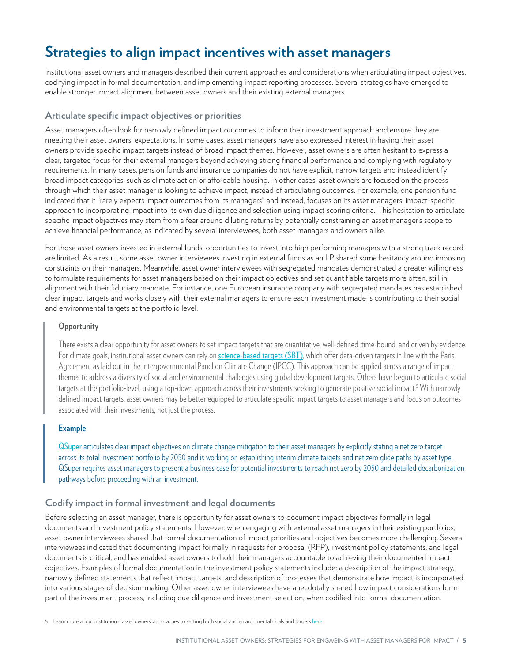## **Strategies to align impact incentives with asset managers**

Institutional asset owners and managers described their current approaches and considerations when articulating impact objectives, codifying impact in formal documentation, and implementing impact reporting processes. Several strategies have emerged to enable stronger impact alignment between asset owners and their existing external managers.

#### **Articulate specific impact objectives or priorities**

Asset managers often look for narrowly defined impact outcomes to inform their investment approach and ensure they are meeting their asset owners' expectations. In some cases, asset managers have also expressed interest in having their asset owners provide specific impact targets instead of broad impact themes. However, asset owners are often hesitant to express a clear, targeted focus for their external managers beyond achieving strong financial performance and complying with regulatory requirements. In many cases, pension funds and insurance companies do not have explicit, narrow targets and instead identify broad impact categories, such as climate action or affordable housing. In other cases, asset owners are focused on the process through which their asset manager is looking to achieve impact, instead of articulating outcomes. For example, one pension fund indicated that it "rarely expects impact outcomes from its managers" and instead, focuses on its asset managers' impact-specific approach to incorporating impact into its own due diligence and selection using impact scoring criteria. This hesitation to articulate specific impact objectives may stem from a fear around diluting returns by potentially constraining an asset manager's scope to achieve financial performance, as indicated by several interviewees, both asset managers and owners alike.

For those asset owners invested in external funds, opportunities to invest into high performing managers with a strong track record are limited. As a result, some asset owner interviewees investing in external funds as an LP shared some hesitancy around imposing constraints on their managers. Meanwhile, asset owner interviewees with segregated mandates demonstrated a greater willingness to formulate requirements for asset managers based on their impact objectives and set quantifiable targets more often, still in alignment with their fiduciary mandate. For instance, one European insurance company with segregated mandates has established clear impact targets and works closely with their external managers to ensure each investment made is contributing to their social and environmental targets at the portfolio level.

#### **Opportunity**

There exists a clear opportunity for asset owners to set impact targets that are quantitative, well-defined, time-bound, and driven by evidence. For climate goals, institutional asset owners can rely on [science-based targets \(SBT\)](https://sciencebasedtargets.org/), which offer data-driven targets in line with the Paris Agreement as laid out in the Intergovernmental Panel on Climate Change (IPCC). This approach can be applied across a range of impact themes to address a diversity of social and environmental challenges using global development targets. Others have begun to articulate social targets at the portfolio-level, using a top-down approach across their investments seeking to generate positive social impact.<sup>5</sup> With narrowly defined impact targets, asset owners may be better equipped to articulate specific impact targets to asset managers and focus on outcomes associated with their investments, not just the process.

#### **Example**

[QSuper](https://qsuper.qld.gov.au/) articulates clear impact objectives on climate change mitigation to their asset managers by explicitly stating a net zero target across its total investment portfolio by 2050 and is working on establishing interim climate targets and net zero glide paths by asset type. QSuper requires asset managers to present a business case for potential investments to reach net zero by 2050 and detailed decarbonization pathways before proceeding with an investment.

#### **Codify impact in formal investment and legal documents**

Before selecting an asset manager, there is opportunity for asset owners to document impact objectives formally in legal documents and investment policy statements. However, when engaging with external asset managers in their existing portfolios, asset owner interviewees shared that formal documentation of impact priorities and objectives becomes more challenging. Several interviewees indicated that documenting impact formally in requests for proposal (RFP), investment policy statements, and legal documents is critical, and has enabled asset owners to hold their managers accountable to achieving their documented impact objectives. Examples of formal documentation in the investment policy statements include: a description of the impact strategy, narrowly defined statements that reflect impact targets, and description of processes that demonstrate how impact is incorporated into various stages of decision-making. Other asset owner interviewees have anecdotally shared how impact considerations form part of the investment process, including due diligence and investment selection, when codified into formal documentation.

5 Learn more about institutional asset owners' approaches to setting both social and environmental goals and targets [here](https://thegiin.org/research/publication/institutional-asset-owners-approaches-to-setting-social-and-environmental-goals).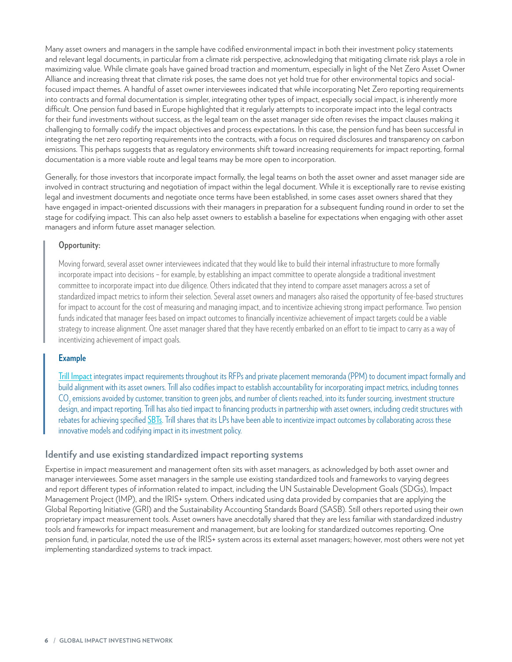Many asset owners and managers in the sample have codified environmental impact in both their investment policy statements and relevant legal documents, in particular from a climate risk perspective, acknowledging that mitigating climate risk plays a role in maximizing value. While climate goals have gained broad traction and momentum, especially in light of the Net Zero Asset Owner Alliance and increasing threat that climate risk poses, the same does not yet hold true for other environmental topics and socialfocused impact themes. A handful of asset owner interviewees indicated that while incorporating Net Zero reporting requirements into contracts and formal documentation is simpler, integrating other types of impact, especially social impact, is inherently more difficult. One pension fund based in Europe highlighted that it regularly attempts to incorporate impact into the legal contracts for their fund investments without success, as the legal team on the asset manager side often revises the impact clauses making it challenging to formally codify the impact objectives and process expectations. In this case, the pension fund has been successful in integrating the net zero reporting requirements into the contracts, with a focus on required disclosures and transparency on carbon emissions. This perhaps suggests that as regulatory environments shift toward increasing requirements for impact reporting, formal documentation is a more viable route and legal teams may be more open to incorporation.

Generally, for those investors that incorporate impact formally, the legal teams on both the asset owner and asset manager side are involved in contract structuring and negotiation of impact within the legal document. While it is exceptionally rare to revise existing legal and investment documents and negotiate once terms have been established, in some cases asset owners shared that they have engaged in impact-oriented discussions with their managers in preparation for a subsequent funding round in order to set the stage for codifying impact. This can also help asset owners to establish a baseline for expectations when engaging with other asset managers and inform future asset manager selection.

#### **Opportunity:**

Moving forward, several asset owner interviewees indicated that they would like to build their internal infrastructure to more formally incorporate impact into decisions – for example, by establishing an impact committee to operate alongside a traditional investment committee to incorporate impact into due diligence. Others indicated that they intend to compare asset managers across a set of standardized impact metrics to inform their selection. Several asset owners and managers also raised the opportunity of fee-based structures for impact to account for the cost of measuring and managing impact, and to incentivize achieving strong impact performance. Two pension funds indicated that manager fees based on impact outcomes to financially incentivize achievement of impact targets could be a viable strategy to increase alignment. One asset manager shared that they have recently embarked on an effort to tie impact to carry as a way of incentivizing achievement of impact goals.

#### **Example**

[Trill Impact](https://www.trillimpact.com/) integrates impact requirements throughout its RFPs and private placement memoranda (PPM) to document impact formally and build alignment with its asset owners. Trill also codifies impact to establish accountability for incorporating impact metrics, including tonnes  $\rm CO_{_2}$  emissions avoided by customer, transition to green jobs, and number of clients reached, into its funder sourcing, investment structure design, and impact reporting. Trill has also tied impact to financing products in partnership with asset owners, including credit structures with rebates for achieving specified [SBTs](https://sciencebasedtargets.org/). Trill shares that its LPs have been able to incentivize impact outcomes by collaborating across these innovative models and codifying impact in its investment policy.

#### **Identify and use existing standardized impact reporting systems**

Expertise in impact measurement and management often sits with asset managers, as acknowledged by both asset owner and manager interviewees. Some asset managers in the sample use existing standardized tools and frameworks to varying degrees and report different types of information related to impact, including the UN Sustainable Development Goals (SDGs), Impact Management Project (IMP), and the IRIS+ system. Others indicated using data provided by companies that are applying the Global Reporting Initiative (GRI) and the Sustainability Accounting Standards Board (SASB). Still others reported using their own proprietary impact measurement tools. Asset owners have anecdotally shared that they are less familiar with standardized industry tools and frameworks for impact measurement and management, but are looking for standardized outcomes reporting. One pension fund, in particular, noted the use of the IRIS+ system across its external asset managers; however, most others were not yet implementing standardized systems to track impact.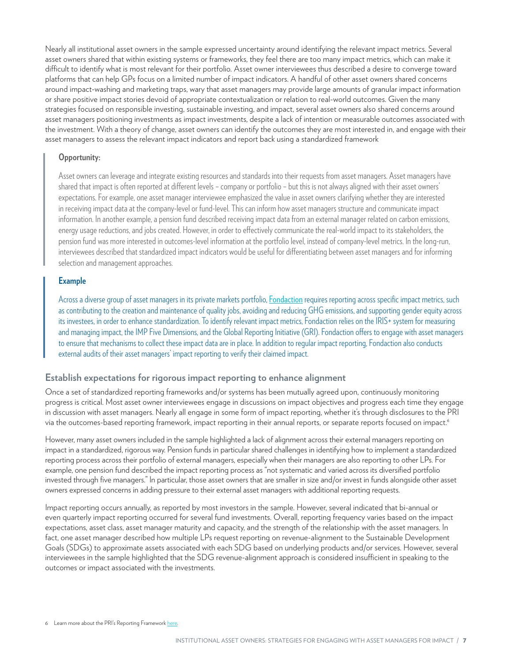Nearly all institutional asset owners in the sample expressed uncertainty around identifying the relevant impact metrics. Several asset owners shared that within existing systems or frameworks, they feel there are too many impact metrics, which can make it difficult to identify what is most relevant for their portfolio. Asset owner interviewees thus described a desire to converge toward platforms that can help GPs focus on a limited number of impact indicators. A handful of other asset owners shared concerns around impact-washing and marketing traps, wary that asset managers may provide large amounts of granular impact information or share positive impact stories devoid of appropriate contextualization or relation to real-world outcomes. Given the many strategies focused on responsible investing, sustainable investing, and impact, several asset owners also shared concerns around asset managers positioning investments as impact investments, despite a lack of intention or measurable outcomes associated with the investment. With a theory of change, asset owners can identify the outcomes they are most interested in, and engage with their asset managers to assess the relevant impact indicators and report back using a standardized framework

#### **Opportunity:**

Asset owners can leverage and integrate existing resources and standards into their requests from asset managers. Asset managers have shared that impact is often reported at different levels – company or portfolio – but this is not always aligned with their asset owners' expectations. For example, one asset manager interviewee emphasized the value in asset owners clarifying whether they are interested in receiving impact data at the company-level or fund-level. This can inform how asset managers structure and communicate impact information. In another example, a pension fund described receiving impact data from an external manager related on carbon emissions, energy usage reductions, and jobs created. However, in order to effectively communicate the real-world impact to its stakeholders, the pension fund was more interested in outcomes-level information at the portfolio level, instead of company-level metrics. In the long-run, interviewees described that standardized impact indicators would be useful for differentiating between asset managers and for informing selection and management approaches.

#### **Example**

Across a diverse group of asset managers in its private markets portfolio, [Fondaction](https://www.fondaction.com/) requires reporting across specific impact metrics, such as contributing to the creation and maintenance of quality jobs, avoiding and reducing GHG emissions, and supporting gender equity across its investees, in order to enhance standardization. To identify relevant impact metrics, Fondaction relies on the IRIS+ system for measuring and managing impact, the IMP Five Dimensions, and the Global Reporting Initiative (GRI). Fondaction offers to engage with asset managers to ensure that mechanisms to collect these impact data are in place. In addition to regular impact reporting, Fondaction also conducts external audits of their asset managers' impact reporting to verify their claimed impact.

#### **Establish expectations for rigorous impact reporting to enhance alignment**

Once a set of standardized reporting frameworks and/or systems has been mutually agreed upon, continuously monitoring progress is critical. Most asset owner interviewees engage in discussions on impact objectives and progress each time they engage in discussion with asset managers. Nearly all engage in some form of impact reporting, whether it's through disclosures to the PRI via the outcomes-based reporting framework, impact reporting in their annual reports, or separate reports focused on impact.6

However, many asset owners included in the sample highlighted a lack of alignment across their external managers reporting on impact in a standardized, rigorous way. Pension funds in particular shared challenges in identifying how to implement a standardized reporting process across their portfolio of external managers, especially when their managers are also reporting to other LPs. For example, one pension fund described the impact reporting process as "not systematic and varied across its diversified portfolio invested through five managers." In particular, those asset owners that are smaller in size and/or invest in funds alongside other asset owners expressed concerns in adding pressure to their external asset managers with additional reporting requests.

Impact reporting occurs annually, as reported by most investors in the sample. However, several indicated that bi-annual or even quarterly impact reporting occurred for several fund investments. Overall, reporting frequency varies based on the impact expectations, asset class, asset manager maturity and capacity, and the strength of the relationship with the asset managers. In fact, one asset manager described how multiple LPs request reporting on revenue-alignment to the Sustainable Development Goals (SDGs) to approximate assets associated with each SDG based on underlying products and/or services. However, several interviewees in the sample highlighted that the SDG revenue-alignment approach is considered insufficient in speaking to the outcomes or impact associated with the investments.

6 Learn more about the PRI's Reporting Framework [here](https://dwtyzx6upklss.cloudfront.net/Uploads/w/h/f/overview_and_guidance_reporting_framework_structure3_584160.pdf).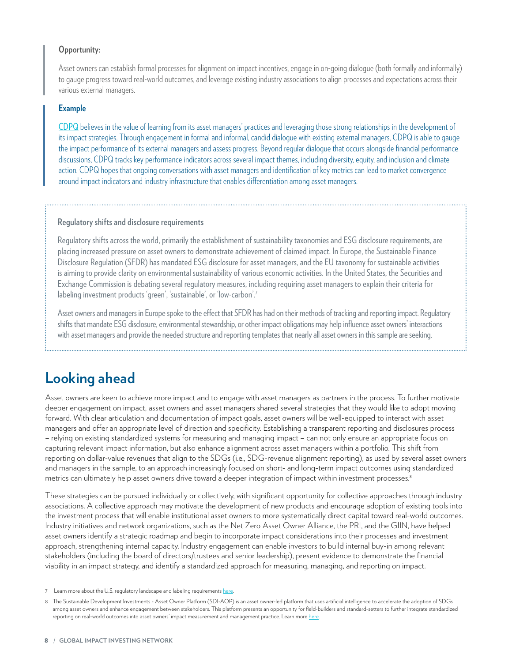#### <span id="page-9-0"></span>**Opportunity:**

Asset owners can establish formal processes for alignment on impact incentives, engage in on-going dialogue (both formally and informally) to gauge progress toward real-world outcomes, and leverage existing industry associations to align processes and expectations across their various external managers.

#### **Example**

[CDPQ](https://www.cdpq.com/en) believes in the value of learning from its asset managers' practices and leveraging those strong relationships in the development of its impact strategies. Through engagement in formal and informal, candid dialogue with existing external managers, CDPQ is able to gauge the impact performance of its external managers and assess progress. Beyond regular dialogue that occurs alongside financial performance discussions, CDPQ tracks key performance indicators across several impact themes, including diversity, equity, and inclusion and climate action. CDPQ hopes that ongoing conversations with asset managers and identification of key metrics can lead to market convergence around impact indicators and industry infrastructure that enables differentiation among asset managers.

#### **Regulatory shifts and disclosure requirements**

Regulatory shifts across the world, primarily the establishment of sustainability taxonomies and ESG disclosure requirements, are placing increased pressure on asset owners to demonstrate achievement of claimed impact. In Europe, the Sustainable Finance Disclosure Regulation (SFDR) has mandated ESG disclosure for asset managers, and the EU taxonomy for sustainable activities is aiming to provide clarity on environmental sustainability of various economic activities. In the United States, the Securities and Exchange Commission is debating several regulatory measures, including requiring asset managers to explain their criteria for labeling investment products 'green', 'sustainable', or 'low-carbon'.<sup>7</sup>

Asset owners and managers in Europe spoke to the effect that SFDR has had on their methods of tracking and reporting impact. Regulatory shifts that mandate ESG disclosure, environmental stewardship, or other impact obligations may help influence asset owners' interactions with asset managers and provide the needed structure and reporting templates that nearly all asset owners in this sample are seeking.

## **Looking ahead**

Asset owners are keen to achieve more impact and to engage with asset managers as partners in the process. To further motivate deeper engagement on impact, asset owners and asset managers shared several strategies that they would like to adopt moving forward. With clear articulation and documentation of impact goals, asset owners will be well-equipped to interact with asset managers and offer an appropriate level of direction and specificity. Establishing a transparent reporting and disclosures process – relying on existing standardized systems for measuring and managing impact – can not only ensure an appropriate focus on capturing relevant impact information, but also enhance alignment across asset managers within a portfolio. This shift from reporting on dollar-value revenues that align to the SDGs (i.e., SDG-revenue alignment reporting), as used by several asset owners and managers in the sample, to an approach increasingly focused on short- and long-term impact outcomes using standardized metrics can ultimately help asset owners drive toward a deeper integration of impact within investment processes.<sup>8</sup>

These strategies can be pursued individually or collectively, with significant opportunity for collective approaches through industry associations. A collective approach may motivate the development of new products and encourage adoption of existing tools into the investment process that will enable institutional asset owners to more systematically direct capital toward real-world outcomes. Industry initiatives and network organizations, such as the Net Zero Asset Owner Alliance, the PRI, and the GIIN, have helped asset owners identify a strategic roadmap and begin to incorporate impact considerations into their processes and investment approach, strengthening internal capacity. Industry engagement can enable investors to build internal buy-in among relevant stakeholders (including the board of directors/trustees and senior leadership), present evidence to demonstrate the financial viability in an impact strategy, and identify a standardized approach for measuring, managing, and reporting on impact.

Learn more about the U.S. regulatory landscape and labeling requirements here

<sup>8</sup> The Sustainable Development Investments - Asset Owner Platform (SDI-AOP) is an asset owner-led platform that uses artificial intelligence to accelerate the adoption of SDGs among asset owners and enhance engagement between stakeholders. This platform presents an opportunity for field-builders and standard-setters to further integrate standardized reporting on real-world outcomes into asset owners' impact measurement and management practice. Learn more [here](https://www.sdi-aop.org/about/).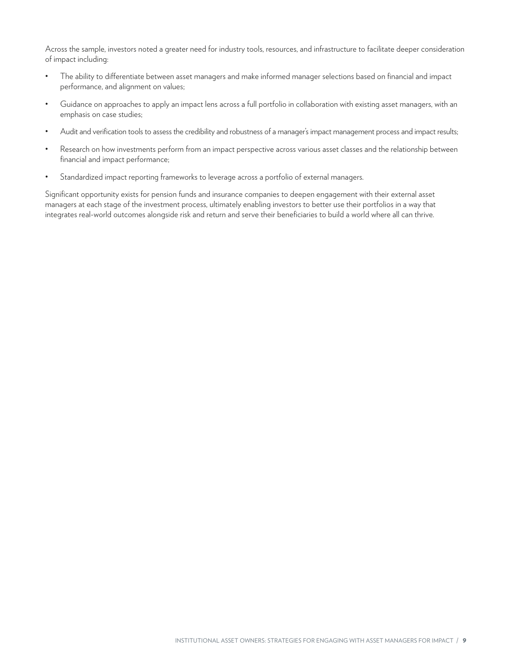<span id="page-10-0"></span>Across the sample, investors noted a greater need for industry tools, resources, and infrastructure to facilitate deeper consideration of impact including:

- The ability to differentiate between asset managers and make informed manager selections based on financial and impact performance, and alignment on values;
- Guidance on approaches to apply an impact lens across a full portfolio in collaboration with existing asset managers, with an emphasis on case studies;
- Audit and verification tools to assess the credibility and robustness of a manager's impact management process and impact results;
- Research on how investments perform from an impact perspective across various asset classes and the relationship between financial and impact performance;
- Standardized impact reporting frameworks to leverage across a portfolio of external managers.

Significant opportunity exists for pension funds and insurance companies to deepen engagement with their external asset managers at each stage of the investment process, ultimately enabling investors to better use their portfolios in a way that integrates real-world outcomes alongside risk and return and serve their beneficiaries to build a world where all can thrive.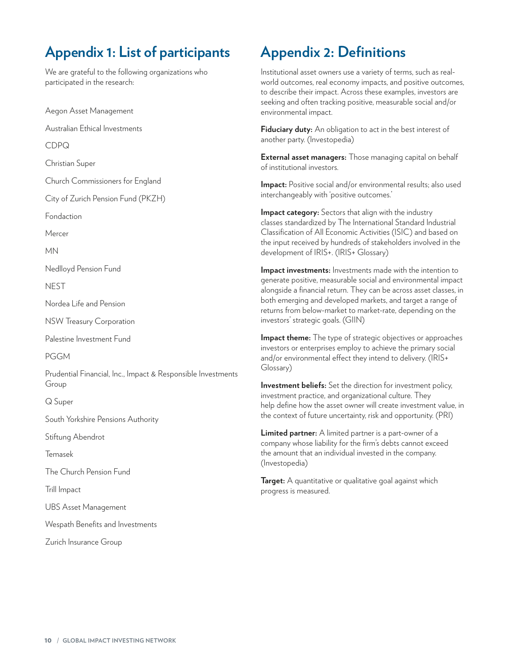## **Appendix 1: List of participants**

We are grateful to the following organizations who participated in the research:

Aegon Asset Management

Australian Ethical Investments

CDPQ

Christian Super

Church Commissioners for England

City of Zurich Pension Fund (PKZH)

Fondaction

Mercer

MN

Nedlloyd Pension Fund

**NEST** 

Nordea Life and Pension

NSW Treasury Corporation

Palestine Investment Fund

PGGM

Prudential Financial, Inc., Impact & Responsible Investments Group

Q Super

South Yorkshire Pensions Authority

Stiftung Abendrot

Temasek

The Church Pension Fund

Trill Impact

UBS Asset Management

Wespath Benefits and Investments

Zurich Insurance Group

## **Appendix 2: Definitions**

Institutional asset owners use a variety of terms, such as realworld outcomes, real economy impacts, and positive outcomes, to describe their impact. Across these examples, investors are seeking and often tracking positive, measurable social and/or environmental impact.

**Fiduciary duty:** An obligation to act in the best interest of another party. (Investopedia)

**External asset managers:** Those managing capital on behalf of institutional investors.

**Impact:** Positive social and/or environmental results; also used interchangeably with 'positive outcomes.'

**Impact category:** Sectors that align with the industry classes standardized by The International Standard Industrial Classification of All Economic Activities (ISIC) and based on the input received by hundreds of stakeholders involved in the development of IRIS+. (IRIS+ Glossary)

**Impact investments:** Investments made with the intention to generate positive, measurable social and environmental impact alongside a financial return. They can be across asset classes, in both emerging and developed markets, and target a range of returns from below-market to market-rate, depending on the investors' strategic goals. (GIIN)

**Impact theme:** The type of strategic objectives or approaches investors or enterprises employ to achieve the primary social and/or environmental effect they intend to delivery. (IRIS+ Glossary)

**Investment beliefs:** Set the direction for investment policy, investment practice, and organizational culture. They help define how the asset owner will create investment value, in the context of future uncertainty, risk and opportunity. (PRI)

**Limited partner:** A limited partner is a part-owner of a company whose liability for the firm's debts cannot exceed the amount that an individual invested in the company. (Investopedia)

**Target:** A quantitative or qualitative goal against which progress is measured.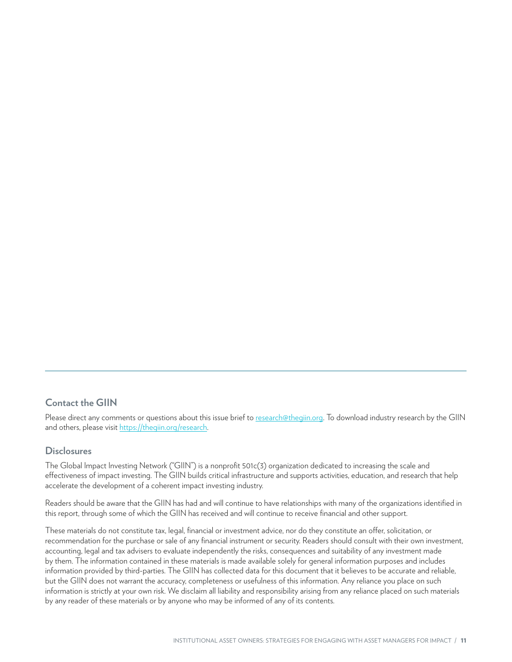#### **Contact the GIIN**

Please direct any comments or questions about this issue brief to [research@thegiin.org](mailto:research%40thegiin.org?subject=Institutional%20Asset%20Owners%20-%20Issue%20Brief%20question). To download industry research by the GIIN and others, please visit [https://thegiin.org/research.](https://thegiin.org/research)

#### **Disclosures**

The Global Impact Investing Network ("GIIN") is a nonprofit 501c(3) organization dedicated to increasing the scale and effectiveness of impact investing. The GIIN builds critical infrastructure and supports activities, education, and research that help accelerate the development of a coherent impact investing industry.

Readers should be aware that the GIIN has had and will continue to have relationships with many of the organizations identified in this report, through some of which the GIIN has received and will continue to receive financial and other support.

These materials do not constitute tax, legal, financial or investment advice, nor do they constitute an offer, solicitation, or recommendation for the purchase or sale of any financial instrument or security. Readers should consult with their own investment, accounting, legal and tax advisers to evaluate independently the risks, consequences and suitability of any investment made by them. The information contained in these materials is made available solely for general information purposes and includes information provided by third-parties. The GIIN has collected data for this document that it believes to be accurate and reliable, but the GIIN does not warrant the accuracy, completeness or usefulness of this information. Any reliance you place on such information is strictly at your own risk. We disclaim all liability and responsibility arising from any reliance placed on such materials by any reader of these materials or by anyone who may be informed of any of its contents.